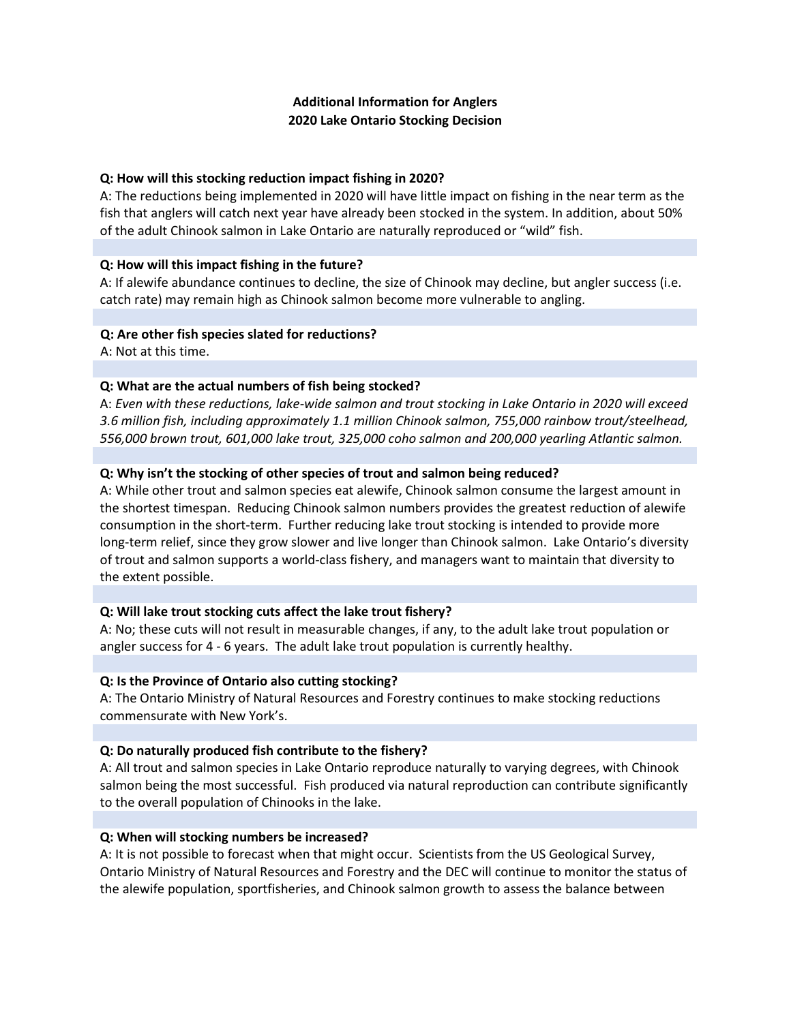# **Additional Information for Anglers 2020 Lake Ontario Stocking Decision**

# **Q: How will this stocking reduction impact fishing in 2020?**

A: The reductions being implemented in 2020 will have little impact on fishing in the near term as the fish that anglers will catch next year have already been stocked in the system. In addition, about 50% of the adult Chinook salmon in Lake Ontario are naturally reproduced or "wild" fish.

# **Q: How will this impact fishing in the future?**

A: If alewife abundance continues to decline, the size of Chinook may decline, but angler success (i.e. catch rate) may remain high as Chinook salmon become more vulnerable to angling.

## **Q: Are other fish species slated for reductions?**

A: Not at this time.

# **Q: What are the actual numbers of fish being stocked?**

A: *Even with these reductions, lake-wide salmon and trout stocking in Lake Ontario in 2020 will exceed 3.6 million fish, including approximately 1.1 million Chinook salmon, 755,000 rainbow trout/steelhead, 556,000 brown trout, 601,000 lake trout, 325,000 coho salmon and 200,000 yearling Atlantic salmon.*

# **Q: Why isn't the stocking of other species of trout and salmon being reduced?**

A: While other trout and salmon species eat alewife, Chinook salmon consume the largest amount in the shortest timespan. Reducing Chinook salmon numbers provides the greatest reduction of alewife consumption in the short-term. Further reducing lake trout stocking is intended to provide more long-term relief, since they grow slower and live longer than Chinook salmon. Lake Ontario's diversity of trout and salmon supports a world-class fishery, and managers want to maintain that diversity to the extent possible.

## **Q: Will lake trout stocking cuts affect the lake trout fishery?**

A: No; these cuts will not result in measurable changes, if any, to the adult lake trout population or angler success for 4 - 6 years. The adult lake trout population is currently healthy.

## **Q: Is the Province of Ontario also cutting stocking?**

A: The Ontario Ministry of Natural Resources and Forestry continues to make stocking reductions commensurate with New York's.

## **Q: Do naturally produced fish contribute to the fishery?**

A: All trout and salmon species in Lake Ontario reproduce naturally to varying degrees, with Chinook salmon being the most successful. Fish produced via natural reproduction can contribute significantly to the overall population of Chinooks in the lake.

## **Q: When will stocking numbers be increased?**

A: It is not possible to forecast when that might occur. Scientists from the US Geological Survey, Ontario Ministry of Natural Resources and Forestry and the DEC will continue to monitor the status of the alewife population, sportfisheries, and Chinook salmon growth to assess the balance between